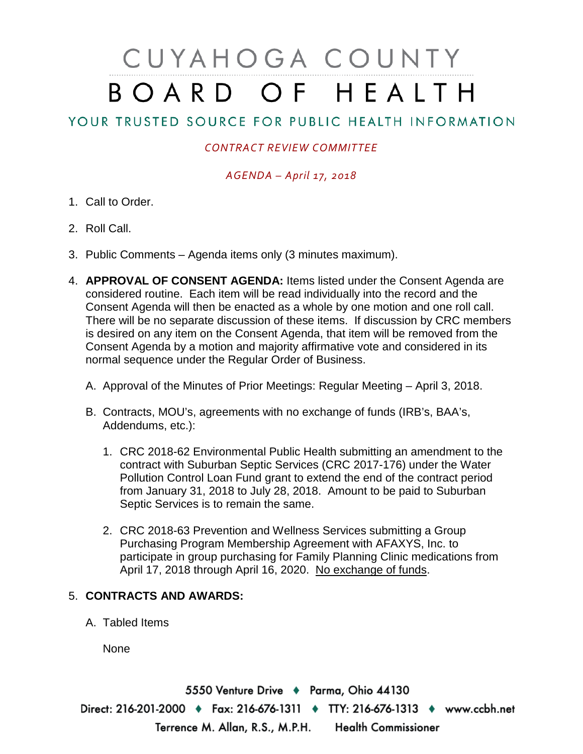# CUYAHOGA COUNTY BOARD OF HEALTH

## YOUR TRUSTED SOURCE FOR PUBLIC HEALTH INFORMATION

### *CONTRACT REVIEW COMMITTEE*

#### *AGENDA – April 17, 2018*

- 1. Call to Order.
- 2. Roll Call.
- 3. Public Comments Agenda items only (3 minutes maximum).
- 4. **APPROVAL OF CONSENT AGENDA:** Items listed under the Consent Agenda are considered routine. Each item will be read individually into the record and the Consent Agenda will then be enacted as a whole by one motion and one roll call. There will be no separate discussion of these items. If discussion by CRC members is desired on any item on the Consent Agenda, that item will be removed from the Consent Agenda by a motion and majority affirmative vote and considered in its normal sequence under the Regular Order of Business.
	- A. Approval of the Minutes of Prior Meetings: Regular Meeting April 3, 2018.
	- B. Contracts, MOU's, agreements with no exchange of funds (IRB's, BAA's, Addendums, etc.):
		- 1. CRC 2018-62 Environmental Public Health submitting an amendment to the contract with Suburban Septic Services (CRC 2017-176) under the Water Pollution Control Loan Fund grant to extend the end of the contract period from January 31, 2018 to July 28, 2018. Amount to be paid to Suburban Septic Services is to remain the same.
		- 2. CRC 2018-63 Prevention and Wellness Services submitting a Group Purchasing Program Membership Agreement with AFAXYS, Inc. to participate in group purchasing for Family Planning Clinic medications from April 17, 2018 through April 16, 2020. No exchange of funds.

#### 5. **CONTRACTS AND AWARDS:**

A. Tabled Items

None

5550 Venture Drive + Parma, Ohio 44130 Direct: 216-201-2000 • Fax: 216-676-1311 • TTY: 216-676-1313 • www.ccbh.net Terrence M. Allan, R.S., M.P.H. Health Commissioner